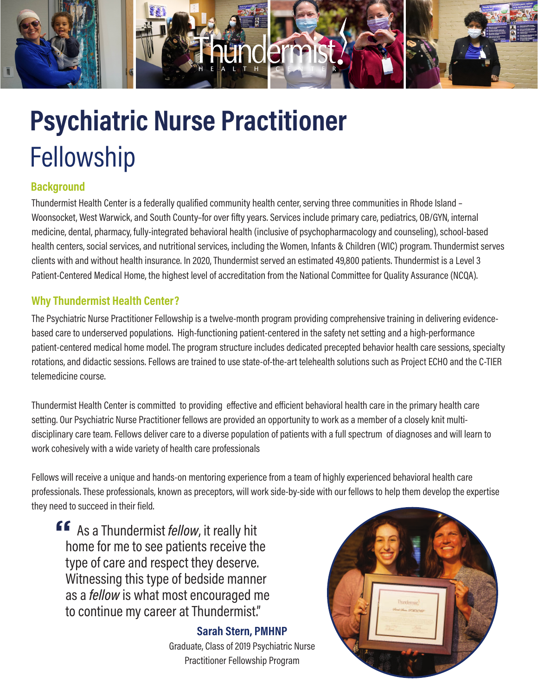

# Fellowship **Psychiatric Nurse Practitioner**

# **Background**

Thundermist Health Center is a federally qualified community health center, serving three communities in Rhode Island – Woonsocket, West Warwick, and South County–for over fifty years. Services include primary care, pediatrics, OB/GYN, internal medicine, dental, pharmacy, fully-integrated behavioral health (inclusive of psychopharmacology and counseling), school-based health centers, social services, and nutritional services, including the Women, Infants & Children (WIC) program. Thundermist serves clients with and without health insurance. In 2020, Thundermist served an estimated 49,800 patients. Thundermist is a Level 3 Patient-Centered Medical Home, the highest level of accreditation from the National Committee for Quality Assurance (NCQA).

# **Why Thundermist Health Center?**

The Psychiatric Nurse Practitioner Fellowship is a twelve-month program providing comprehensive training in delivering evidencebased care to underserved populations. High-functioning patient-centered in the safety net setting and a high-performance patient-centered medical home model. The program structure includes dedicated precepted behavior health care sessions, specialty rotations, and didactic sessions. Fellows are trained to use state-of-the-art telehealth solutions such as Project ECHO and the C-TIER telemedicine course.

Thundermist Health Center is committed to providing effective and efficient behavioral health care in the primary health care setting. Our Psychiatric Nurse Practitioner fellows are provided an opportunity to work as a member of a closely knit multidisciplinary care team. Fellows deliver care to a diverse population of patients with a full spectrum of diagnoses and will learn to work cohesively with a wide variety of health care professionals

Fellows will receive a unique and hands-on mentoring experience from a team of highly experienced behavioral health care professionals. These professionals, known as preceptors, will work side-by-side with our fellows to help them develop the expertise they need to succeed in their field.

**"** As a Thundermist *fellow*, it really hit home for me to see patients receive the type of care and respect they deserve. Witnessing this type of bedside manner as a *fellow* is what most encouraged me to continue my career at Thundermist."

> **Sarah Stern, PMHNP** Graduate, Class of 2019 Psychiatric Nurse Practitioner Fellowship Program